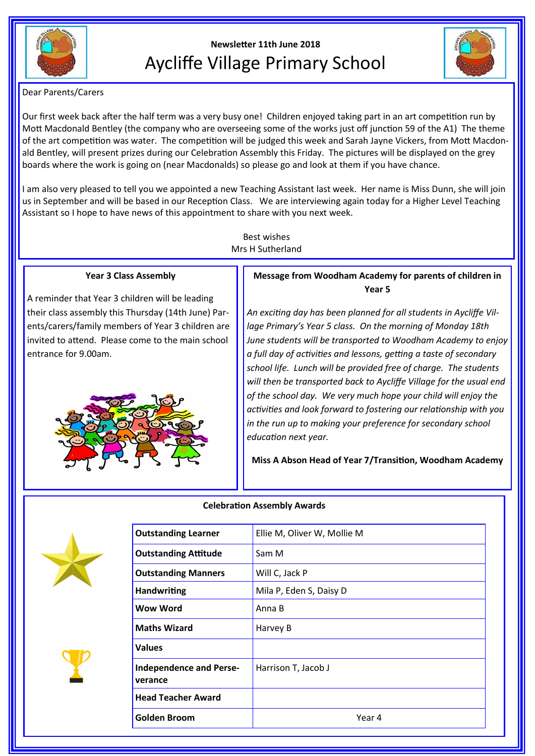

# **Newsletter 11th June 2018** Aycliffe Village Primary School



Dear Parents/Carers

Our first week back after the half term was a very busy one! Children enjoyed taking part in an art competition run by Mott Macdonald Bentley (the company who are overseeing some of the works just off junction 59 of the A1) The theme of the art competition was water. The competition will be judged this week and Sarah Jayne Vickers, from Mott Macdonald Bentley, will present prizes during our Celebration Assembly this Friday. The pictures will be displayed on the grey boards where the work is going on (near Macdonalds) so please go and look at them if you have chance.

I am also very pleased to tell you we appointed a new Teaching Assistant last week. Her name is Miss Dunn, she will join us in September and will be based in our Reception Class. We are interviewing again today for a Higher Level Teaching Assistant so I hope to have news of this appointment to share with you next week.

> Best wishes Mrs H Sutherland

## **Year 3 Class Assembly**

A reminder that Year 3 children will be leading their class assembly this Thursday (14th June) Parents/carers/family members of Year 3 children are invited to attend. Please come to the main school entrance for 9.00am.



# **Message from Woodham Academy for parents of children in Year 5**

*An exciting day has been planned for all students in Aycliffe Village Primary's Year 5 class. On the morning of Monday 18th June students will be transported to Woodham Academy to enjoy a full day of activities and lessons, getting a taste of secondary school life. Lunch will be provided free of charge. The students will then be transported back to Aycliffe Village for the usual end of the school day. We very much hope your child will enjoy the activities and look forward to fostering our relationship with you in the run up to making your preference for secondary school education next year.* 

**Miss A Abson Head of Year 7/Transition, Woodham Academy**







| <b>Outstanding Learner</b>                | Ellie M, Oliver W, Mollie M |  |
|-------------------------------------------|-----------------------------|--|
| <b>Outstanding Attitude</b>               | Sam M                       |  |
| <b>Outstanding Manners</b>                | Will C, Jack P              |  |
| <b>Handwriting</b>                        | Mila P, Eden S, Daisy D     |  |
| Wow Word                                  | Anna B                      |  |
| <b>Maths Wizard</b>                       | Harvey B                    |  |
| <b>Values</b>                             |                             |  |
| <b>Independence and Perse-</b><br>verance | Harrison T, Jacob J         |  |
| <b>Head Teacher Award</b>                 |                             |  |
| <b>Golden Broom</b>                       | Year 4                      |  |
|                                           |                             |  |